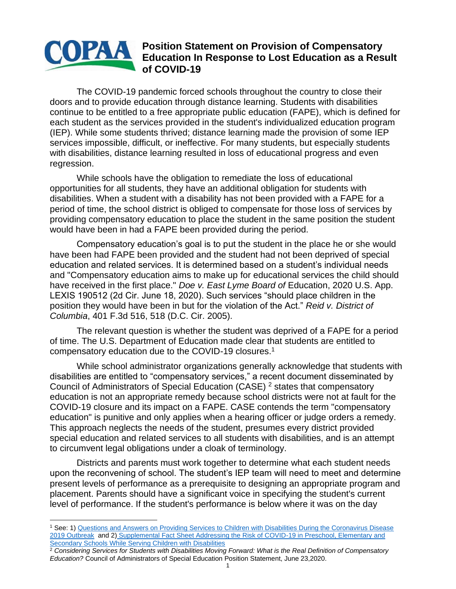## **Position Statement on Provision of Compensatory**  OPAA **Education Statement on Froncisco Statement Conducts**<br>Let Education In Response to Lost Education as a Result **of COVID-19**

The COVID-19 pandemic forced schools throughout the country to close their doors and to provide education through distance learning. Students with disabilities continue to be entitled to a free appropriate public education (FAPE), which is defined for each student as the services provided in the student's individualized education program (IEP). While some students thrived; distance learning made the provision of some IEP services impossible, difficult, or ineffective. For many students, but especially students with disabilities, distance learning resulted in loss of educational progress and even regression.

While schools have the obligation to remediate the loss of educational opportunities for all students, they have an additional obligation for students with disabilities. When a student with a disability has not been provided with a FAPE for a period of time, the school district is obliged to compensate for those loss of services by providing compensatory education to place the student in the same position the student would have been in had a FAPE been provided during the period.

Compensatory education's goal is to put the student in the place he or she would have been had FAPE been provided and the student had not been deprived of special education and related services. It is determined based on a student's individual needs and "Compensatory education aims to make up for educational services the child should have received in the first place." *Doe v. East Lyme Board of* Education, 2020 U.S. App. LEXIS 190512 (2d Cir. June 18, 2020). Such services "should place children in the position they would have been in but for the violation of the Act." *Reid v. District of Columbia*, 401 F.3d 516, 518 (D.C. Cir. 2005).

The relevant question is whether the student was deprived of a FAPE for a period of time. The U.S. Department of Education made clear that students are entitled to compensatory education due to the COVID-19 closures.<sup>1</sup>

While school administrator organizations generally acknowledge that students with disabilities are entitled to "compensatory services," a recent document disseminated by Council of Administrators of Special Education (CASE) <sup>2</sup> states that compensatory education is not an appropriate remedy because school districts were not at fault for the COVID-19 closure and its impact on a FAPE. CASE contends the term "compensatory education" is punitive and only applies when a hearing officer or judge orders a remedy. This approach neglects the needs of the student, presumes every district provided special education and related services to all students with disabilities, and is an attempt to circumvent legal obligations under a cloak of terminology.

Districts and parents must work together to determine what each student needs upon the reconvening of school. The student's IEP team will need to meet and determine present levels of performance as a prerequisite to designing an appropriate program and placement. Parents should have a significant voice in specifying the student's current level of performance. If the student's performance is below where it was on the day

<sup>2</sup> *Considering Services for Students with Disabilities Moving Forward: What is the Real Definition of Compensatory Education?* Council of Administrators of Special Education Position Statement, June 23,2020.

<sup>&</sup>lt;sup>1</sup> See: 1) Questions and Answers on Providing Services to Children with Disabilities During the Coronavirus Disease [2019 Outbreak](https://www2.ed.gov/policy/speced/guid/idea/memosdcltrs/qa-covid-19-03-12-2020.pdf) and 2) [Supplemental Fact Sheet Addressing the Risk of COVID-19 in Preschool, Elementary and](https://www2.ed.gov/about/offices/list/ocr/frontpage/faq/rr/policyguidance/Supple%20Fact%20Sheet%203.21.20%20FINAL.pdf)  **[Secondary Schools While Serving Children with Disabilities](https://www2.ed.gov/about/offices/list/ocr/frontpage/faq/rr/policyguidance/Supple%20Fact%20Sheet%203.21.20%20FINAL.pdf)**